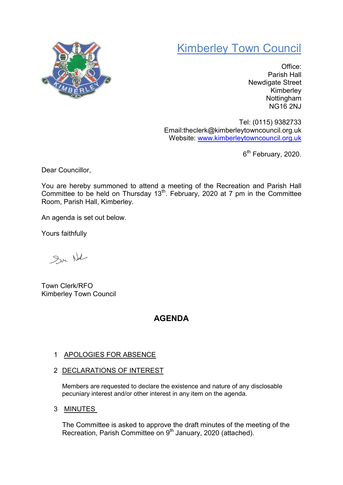# Kimberley Town Council



Office: Parish Hall Newdigate Street Kimberley **Nottingham** NG16 2NJ

Tel: (0115) 9382733 Email:theclerk@kimberleytowncouncil.org.uk Website: www.kimberleytowncouncil.org.uk

6<sup>th</sup> February, 2020.

Dear Councillor,

You are hereby summoned to attend a meeting of the Recreation and Parish Hall Committee to be held on Thursday 13<sup>th</sup>. February, 2020 at 7 pm in the Committee Room, Parish Hall, Kimberley.

An agenda is set out below.

Yours faithfully

Sur Not

Town Clerk/RFO Kimberley Town Council

# AGENDA

# 1 APOLOGIES FOR ABSENCE

2 DECLARATIONS OF INTEREST

Members are requested to declare the existence and nature of any disclosable pecuniary interest and/or other interest in any item on the agenda.

3 MINUTES

The Committee is asked to approve the draft minutes of the meeting of the Recreation, Parish Committee on 9<sup>th</sup> January, 2020 (attached).